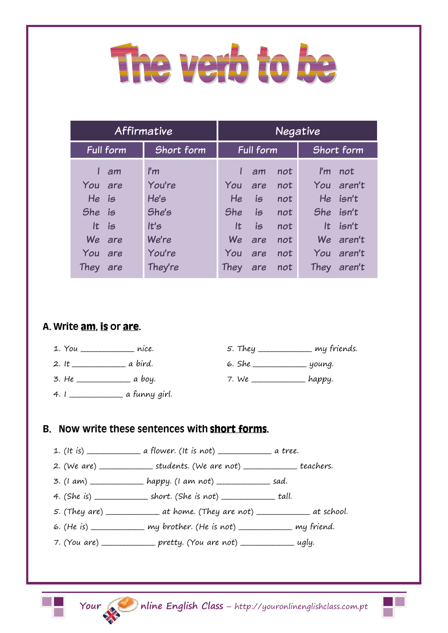## The verb to be

| <b>Affirmative</b> |                         | <b>Negative</b>  |     |     |                                |
|--------------------|-------------------------|------------------|-----|-----|--------------------------------|
| <b>Full form</b>   | Short form              | <b>Full form</b> |     |     | Short form                     |
| am                 | $\mathsf{I}'\mathsf{m}$ |                  | am  | not | $\mathsf{I}'\mathsf{m}$<br>not |
| You are            | You're                  | You              | are | not | You aren't                     |
| He is              | He's                    | He               | is  | not | He isn't                       |
| She is             | She's                   | <b>She</b>       | is  | not | She isn't                      |
| It is              | t's                     | lt.              | is  | not | It $isn't$                     |
| We<br>are          | We're                   | We               | are | not | We aren't                      |
| You<br>are         | You're                  | You              | are | not | You aren't                     |
| They are           | They're                 | They             | are | not | They aren't                    |

## A. Write am is or are.



6. She \_\_\_\_\_\_\_\_\_\_\_\_\_\_\_\_\_ young.

7. We \_\_\_\_\_\_\_\_\_\_\_\_\_\_\_\_\_ happy.

 $4.1$   $\overline{\phantom{a}}$  a funny girl.

2. It \_\_\_\_\_\_\_\_\_\_\_\_\_\_\_\_\_ a bird.

 $3. He$   $\overline{\phantom{a}}$  a boy.

- B. Now write these sentences with short forms.
	- 1. (It is) \_\_\_\_\_\_\_\_\_\_\_\_\_\_\_\_\_ a flower. (It is not) \_\_\_\_\_\_\_\_\_\_\_\_\_\_\_\_\_ a tree.
	- 2. (We are) \_\_\_\_\_\_\_\_\_\_\_\_\_\_\_\_\_ students. (We are not) \_\_\_\_\_\_\_\_\_\_\_\_\_\_\_\_\_ teachers.
	- 3.  $(1 \text{ am})$  \_\_\_\_\_\_\_\_\_\_\_\_\_\_\_\_\_\_\_\_\_ happy.  $(1 \text{ am not})$  \_\_\_\_\_\_\_\_\_\_\_\_\_\_\_\_\_\_\_\_\_\_ sad.
	- 4. (She is) \_\_\_\_\_\_\_\_\_\_\_\_\_\_\_\_\_ short. (She is not) \_\_\_\_\_\_\_\_\_\_\_\_\_\_\_\_\_ tall.
	- 5. (They are)  $\frac{1}{\sqrt{1-\frac{1}{n}}}$  at home. (They are not)  $\frac{1}{\sqrt{1-\frac{1}{n}}}$  at school.
	- 6. (He is) \_\_\_\_\_\_\_\_\_\_\_\_\_\_\_\_\_ my brother. (He is not) \_\_\_\_\_\_\_\_\_\_\_\_\_\_\_\_\_ my friend.
	- 7. (You are) \_\_\_\_\_\_\_\_\_\_\_\_\_\_\_ pretty. (You are not) \_\_\_\_\_\_\_\_\_\_\_\_\_\_\_\_\_ ugly.